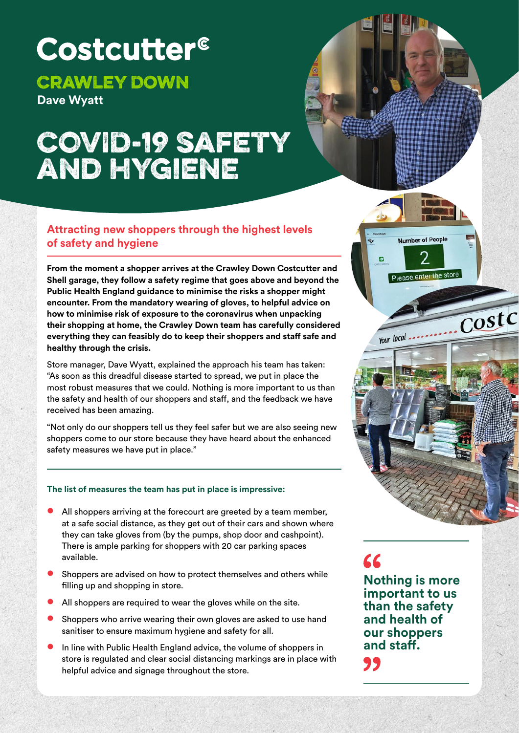# Costcutter<sup>®</sup>

## Crawley Down

**Dave Wyatt**

# COVID-19 safety and hygiene



 $\overline{\text{CostC}}$ 

#### **Attracting new shoppers through the highest levels of safety and hygiene**

**From the moment a shopper arrives at the Crawley Down Costcutter and Shell garage, they follow a safety regime that goes above and beyond the Public Health England guidance to minimise the risks a shopper might encounter. From the mandatory wearing of gloves, to helpful advice on how to minimise risk of exposure to the coronavirus when unpacking their shopping at home, the Crawley Down team has carefully considered everything they can feasibly do to keep their shoppers and staff safe and healthy through the crisis.** 

Store manager, Dave Wyatt, explained the approach his team has taken: "As soon as this dreadful disease started to spread, we put in place the most robust measures that we could. Nothing is more important to us than the safety and health of our shoppers and staff, and the feedback we have received has been amazing.

"Not only do our shoppers tell us they feel safer but we are also seeing new shoppers come to our store because they have heard about the enhanced safety measures we have put in place."

#### **The list of measures the team has put in place is impressive:**

- **•** All shoppers arriving at the forecourt are greeted by a team member, at a safe social distance, as they get out of their cars and shown where they can take gloves from (by the pumps, shop door and cashpoint). There is ample parking for shoppers with 20 car parking spaces available.
- **•** Shoppers are advised on how to protect themselves and others while filling up and shopping in store.
- **•** All shoppers are required to wear the gloves while on the site.
- **•** Shoppers who arrive wearing their own gloves are asked to use hand sanitiser to ensure maximum hygiene and safety for all.
- **•** In line with Public Health England advice, the volume of shoppers in store is regulated and clear social distancing markings are in place with helpful advice and signage throughout the store.

 $AC$ 

Your local

**Nothing is more important to us than the safety and health of our shoppers and staff.** "